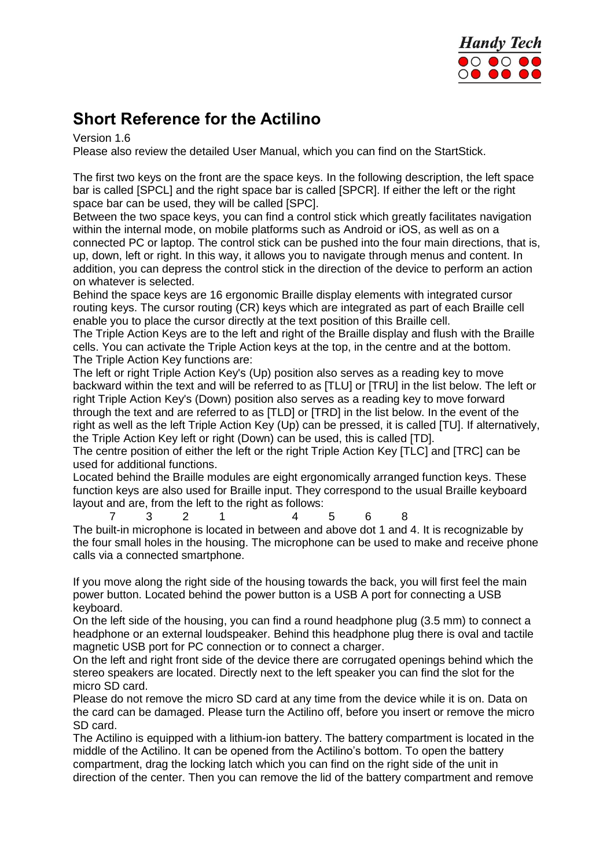

## **Short Reference for the Actilino**

Version 1.6

Please also review the detailed User Manual, which you can find on the StartStick.

The first two keys on the front are the space keys. In the following description, the left space bar is called [SPCL] and the right space bar is called [SPCR]. If either the left or the right space bar can be used, they will be called [SPC].

Between the two space keys, you can find a control stick which greatly facilitates navigation within the internal mode, on mobile platforms such as Android or iOS, as well as on a connected PC or laptop. The control stick can be pushed into the four main directions, that is, up, down, left or right. In this way, it allows you to navigate through menus and content. In addition, you can depress the control stick in the direction of the device to perform an action on whatever is selected.

Behind the space keys are 16 ergonomic Braille display elements with integrated cursor routing keys. The cursor routing (CR) keys which are integrated as part of each Braille cell enable you to place the cursor directly at the text position of this Braille cell.

The Triple Action Keys are to the left and right of the Braille display and flush with the Braille cells. You can activate the Triple Action keys at the top, in the centre and at the bottom. The Triple Action Key functions are:

The left or right Triple Action Key's (Up) position also serves as a reading key to move backward within the text and will be referred to as [TLU] or [TRU] in the list below. The left or right Triple Action Key's (Down) position also serves as a reading key to move forward through the text and are referred to as [TLD] or [TRD] in the list below. In the event of the right as well as the left Triple Action Key (Up) can be pressed, it is called [TU]. If alternatively, the Triple Action Key left or right (Down) can be used, this is called [TD].

The centre position of either the left or the right Triple Action Key [TLC] and [TRC] can be used for additional functions.

Located behind the Braille modules are eight ergonomically arranged function keys. These function keys are also used for Braille input. They correspond to the usual Braille keyboard layout and are, from the left to the right as follows:

7 3 2 1 4 5 6 8 The built-in microphone is located in between and above dot 1 and 4. It is recognizable by the four small holes in the housing. The microphone can be used to make and receive phone calls via a connected smartphone.

If you move along the right side of the housing towards the back, you will first feel the main power button. Located behind the power button is a USB A port for connecting a USB keyboard.

On the left side of the housing, you can find a round headphone plug (3.5 mm) to connect a headphone or an external loudspeaker. Behind this headphone plug there is oval and tactile magnetic USB port for PC connection or to connect a charger.

On the left and right front side of the device there are corrugated openings behind which the stereo speakers are located. Directly next to the left speaker you can find the slot for the micro SD card.

Please do not remove the micro SD card at any time from the device while it is on. Data on the card can be damaged. Please turn the Actilino off, before you insert or remove the micro SD card.

The Actilino is equipped with a lithium-ion battery. The battery compartment is located in the middle of the Actilino. It can be opened from the Actilino's bottom. To open the battery compartment, drag the locking latch which you can find on the right side of the unit in direction of the center. Then you can remove the lid of the battery compartment and remove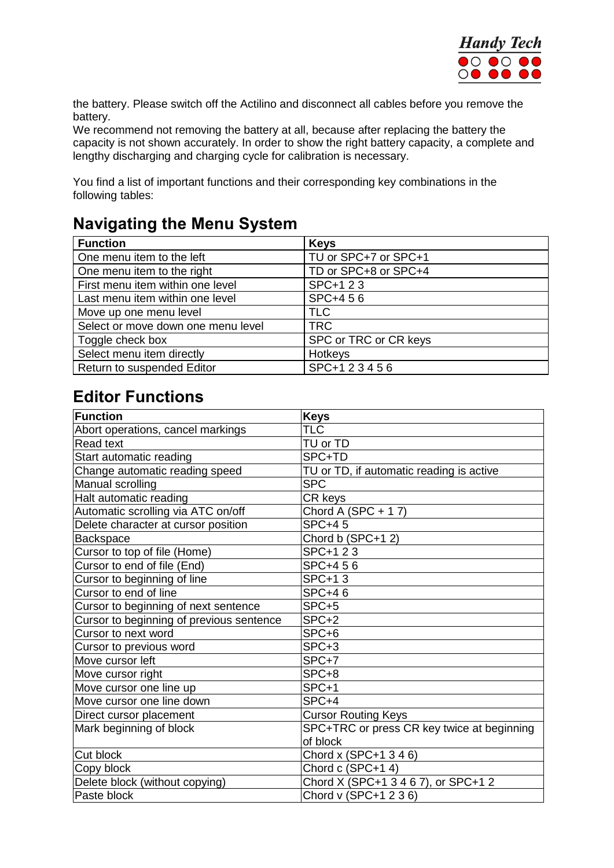

the battery. Please switch off the Actilino and disconnect all cables before you remove the battery.

We recommend not removing the battery at all, because after replacing the battery the capacity is not shown accurately. In order to show the right battery capacity, a complete and lengthy discharging and charging cycle for calibration is necessary.

You find a list of important functions and their corresponding key combinations in the following tables:

## **Navigating the Menu System**

| <b>Function</b>                    | <b>Keys</b>           |
|------------------------------------|-----------------------|
| One menu item to the left          | TU or SPC+7 or SPC+1  |
| One menu item to the right         | TD or SPC+8 or SPC+4  |
| First menu item within one level   | SPC+1 2 3             |
| Last menu item within one level    | SPC+456               |
| Move up one menu level             | <b>TLC</b>            |
| Select or move down one menu level | <b>TRC</b>            |
| Toggle check box                   | SPC or TRC or CR keys |
| Select menu item directly          | Hotkeys               |
| Return to suspended Editor         | SPC+123456            |

#### **Editor Functions**

| <b>Function</b>                          | <b>Keys</b>                                |
|------------------------------------------|--------------------------------------------|
| Abort operations, cancel markings        | <b>TLC</b>                                 |
| <b>Read text</b>                         | TU or TD                                   |
| Start automatic reading                  | SPC+TD                                     |
| Change automatic reading speed           | TU or TD, if automatic reading is active   |
| Manual scrolling                         | <b>SPC</b>                                 |
| Halt automatic reading                   | CR keys                                    |
| Automatic scrolling via ATC on/off       | Chord A (SPC + 17)                         |
| Delete character at cursor position      | <b>SPC+45</b>                              |
| Backspace                                | Chord b (SPC+12)                           |
| Cursor to top of file (Home)             | SPC+1 2 3                                  |
| Cursor to end of file (End)              | SPC+456                                    |
| Cursor to beginning of line              | <b>SPC+13</b>                              |
| Cursor to end of line                    | <b>SPC+46</b>                              |
| Cursor to beginning of next sentence     | SPC+5                                      |
| Cursor to beginning of previous sentence | SPC+2                                      |
| Cursor to next word                      | SPC+6                                      |
| Cursor to previous word                  | SPC+3                                      |
| Move cursor left                         | SPC+7                                      |
| Move cursor right                        | SPC+8                                      |
| Move cursor one line up                  | SPC+1                                      |
| Move cursor one line down                | SPC+4                                      |
| Direct cursor placement                  | <b>Cursor Routing Keys</b>                 |
| Mark beginning of block                  | SPC+TRC or press CR key twice at beginning |
|                                          | of block                                   |
| Cut block                                | Chord x (SPC+1 3 4 6)                      |
| Copy block                               | Chord c (SPC+14)                           |
| Delete block (without copying)           | Chord X (SPC+1 3 4 6 7), or SPC+1 2        |
| Paste block                              | Chord v (SPC+1 2 3 6)                      |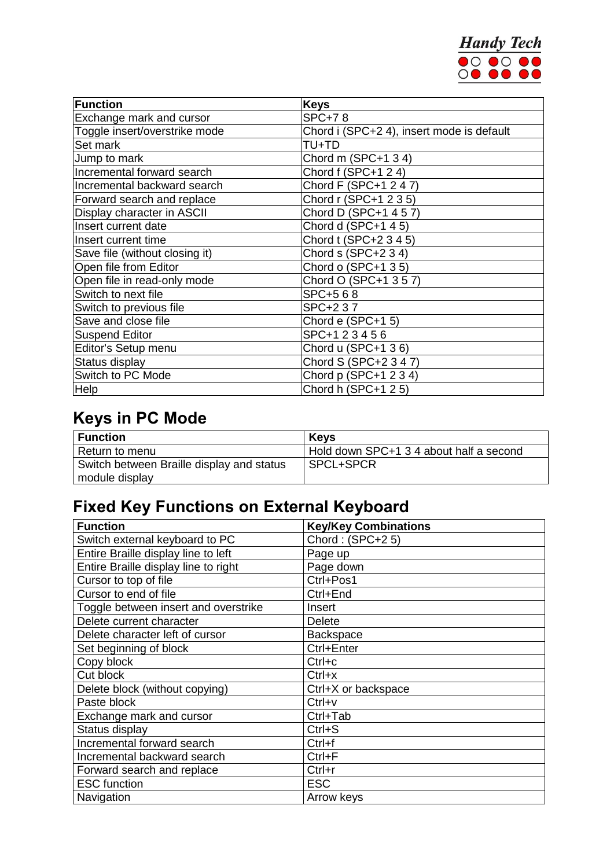

| Function                       | <b>Keys</b>                               |
|--------------------------------|-------------------------------------------|
| Exchange mark and cursor       | <b>SPC+78</b>                             |
| Toggle insert/overstrike mode  | Chord i (SPC+2 4), insert mode is default |
| Set mark                       | TU+TD                                     |
| Jump to mark                   | Chord m (SPC+1 3 4)                       |
| Incremental forward search     | Chord f (SPC+1 2 4)                       |
| Incremental backward search    | Chord F (SPC+1 2 4 7)                     |
| Forward search and replace     | Chord r (SPC+1 2 3 5)                     |
| Display character in ASCII     | Chord D (SPC+1 4 5 7)                     |
| Insert current date            | Chord d (SPC+1 4 5)                       |
| Insert current time            | Chord t (SPC+2 3 4 5)                     |
| Save file (without closing it) | Chord s (SPC+2 3 4)                       |
| Open file from Editor          | Chord o (SPC+1 3 5)                       |
| Open file in read-only mode    | Chord O (SPC+1 3 5 7)                     |
| Switch to next file            | SPC+568                                   |
| Switch to previous file        | SPC+237                                   |
| Save and close file            | Chord e (SPC+1 5)                         |
| <b>Suspend Editor</b>          | SPC+123456                                |
| Editor's Setup menu            | Chord u (SPC+1 36)                        |
| Status display                 | Chord S (SPC+2 3 4 7)                     |
| Switch to PC Mode              | Chord p (SPC+1 2 3 4)                     |
| Help                           | Chord h (SPC+1 2 5)                       |

# **Keys in PC Mode**

| <b>Function</b>                           | <b>Keys</b>                             |
|-------------------------------------------|-----------------------------------------|
| Return to menu                            | Hold down SPC+1 3 4 about half a second |
| Switch between Braille display and status | SPCL+SPCR                               |
| module display                            |                                         |

# **Fixed Key Functions on External Keyboard**

| <b>Function</b>                      | <b>Key/Key Combinations</b> |
|--------------------------------------|-----------------------------|
| Switch external keyboard to PC       | Chord: (SPC+25)             |
| Entire Braille display line to left  | Page up                     |
| Entire Braille display line to right | Page down                   |
| Cursor to top of file                | Ctrl+Pos1                   |
| Cursor to end of file                | Ctrl+End                    |
| Toggle between insert and overstrike | Insert                      |
| Delete current character             | <b>Delete</b>               |
| Delete character left of cursor      | <b>Backspace</b>            |
| Set beginning of block               | Ctrl+Enter                  |
| Copy block                           | $Ctrl + c$                  |
| Cut block                            | $Ctrl+x$                    |
| Delete block (without copying)       | Ctrl+X or backspace         |
| Paste block                          | $Ctrl+v$                    |
| Exchange mark and cursor             | Ctrl+Tab                    |
| Status display                       | $Ctrl + S$                  |
| Incremental forward search           | Ctrl+f                      |
| Incremental backward search          | $Ctrl + F$                  |
| Forward search and replace           | $Ctrl+r$                    |
| <b>ESC</b> function                  | <b>ESC</b>                  |
| Navigation                           | Arrow keys                  |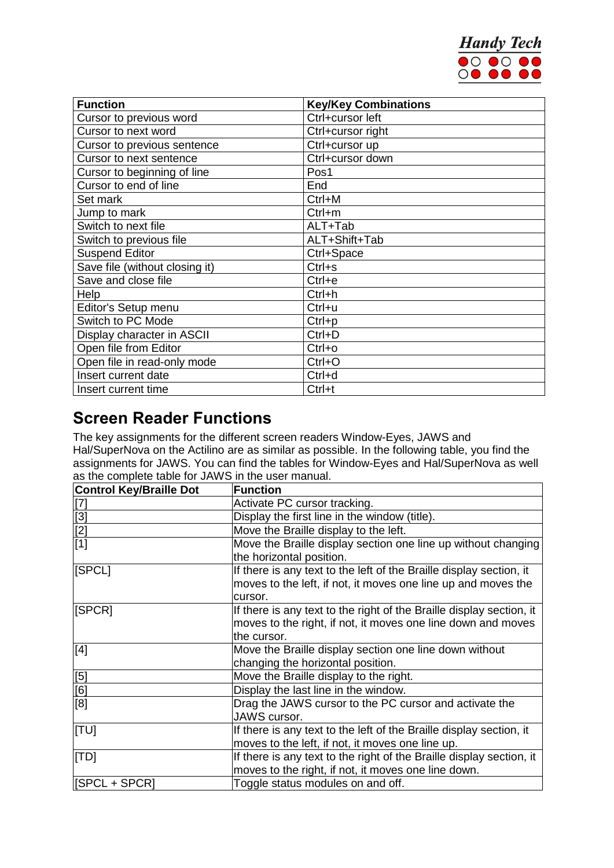

| <b>Function</b>                | <b>Key/Key Combinations</b> |
|--------------------------------|-----------------------------|
| Cursor to previous word        | Ctrl+cursor left            |
| Cursor to next word            | Ctrl+cursor right           |
| Cursor to previous sentence    | Ctrl+cursor up              |
| Cursor to next sentence        | Ctrl+cursor down            |
| Cursor to beginning of line    | Pos1                        |
| Cursor to end of line          | End                         |
| Set mark                       | Ctrl+M                      |
| Jump to mark                   | Ctrl+m                      |
| Switch to next file            | ALT+Tab                     |
| Switch to previous file        | ALT+Shift+Tab               |
| <b>Suspend Editor</b>          | Ctrl+Space                  |
| Save file (without closing it) | $Ctrl + s$                  |
| Save and close file            | $Ctrl + e$                  |
| Help                           | $Ctrl + h$                  |
| Editor's Setup menu            | Ctrl+u                      |
| Switch to PC Mode              | $Ctrl + p$                  |
| Display character in ASCII     | $Ctrl + D$                  |
| Open file from Editor          | $Ctrl+o$                    |
| Open file in read-only mode    | $Ctrl + O$                  |
| Insert current date            | Ctrl+d                      |
| Insert current time            | Ctrl+t                      |

#### **Screen Reader Functions**

The key assignments for the different screen readers Window-Eyes, JAWS and Hal/SuperNova on the Actilino are as similar as possible. In the following table, you find the assignments for JAWS. You can find the tables for Window-Eyes and Hal/SuperNova as well as the complete table for JAWS in the user manual.

| <b>Control Key/Braille Dot</b>                                     | <b>Function</b>                                                      |
|--------------------------------------------------------------------|----------------------------------------------------------------------|
| $\left[ 7\right]$                                                  | Activate PC cursor tracking.                                         |
|                                                                    | Display the first line in the window (title).                        |
| $\begin{array}{c} \boxed{3} \\ \boxed{2} \\ \boxed{1} \end{array}$ | Move the Braille display to the left.                                |
|                                                                    | Move the Braille display section one line up without changing        |
|                                                                    | the horizontal position.                                             |
| [SPCL]                                                             | If there is any text to the left of the Braille display section, it  |
|                                                                    | moves to the left, if not, it moves one line up and moves the        |
|                                                                    | cursor.                                                              |
| [SPCR]                                                             | If there is any text to the right of the Braille display section, it |
|                                                                    | moves to the right, if not, it moves one line down and moves         |
|                                                                    | the cursor.                                                          |
| [4]                                                                | Move the Braille display section one line down without               |
|                                                                    | changing the horizontal position.                                    |
| [5]                                                                | Move the Braille display to the right.                               |
| $\frac{\overline{[6]}}{\overline{[8]}}$                            | Display the last line in the window.                                 |
|                                                                    | Drag the JAWS cursor to the PC cursor and activate the               |
|                                                                    | JAWS cursor.                                                         |
| [TU]                                                               | If there is any text to the left of the Braille display section, it  |
|                                                                    | moves to the left, if not, it moves one line up.                     |
| [TD]                                                               | If there is any text to the right of the Braille display section, it |
|                                                                    | moves to the right, if not, it moves one line down.                  |
| <b>ISPCL + SPCR1</b>                                               | Toggle status modules on and off.                                    |